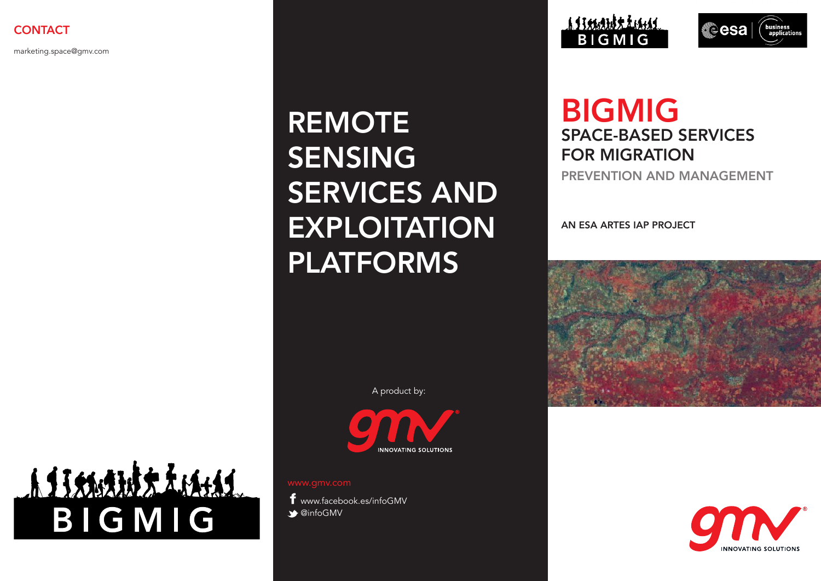marketing.space@gmv.com

# REMOTE SENSING SERVICES AND **EXPLOITATION** PLATFORMS

A product by:



**INNOVATING SOLUTIONS** 

www.facebook.es/infoGMV  $\triangle$  @infoGMV

<u>a Tranda Lami</u> **BIGMIG** 



## BIGMIG SPACE-BASED SERVICES FOR MIGRATION

PREVENTION AND MANAGEMENT

AN ESA ARTES IAP PROJECT